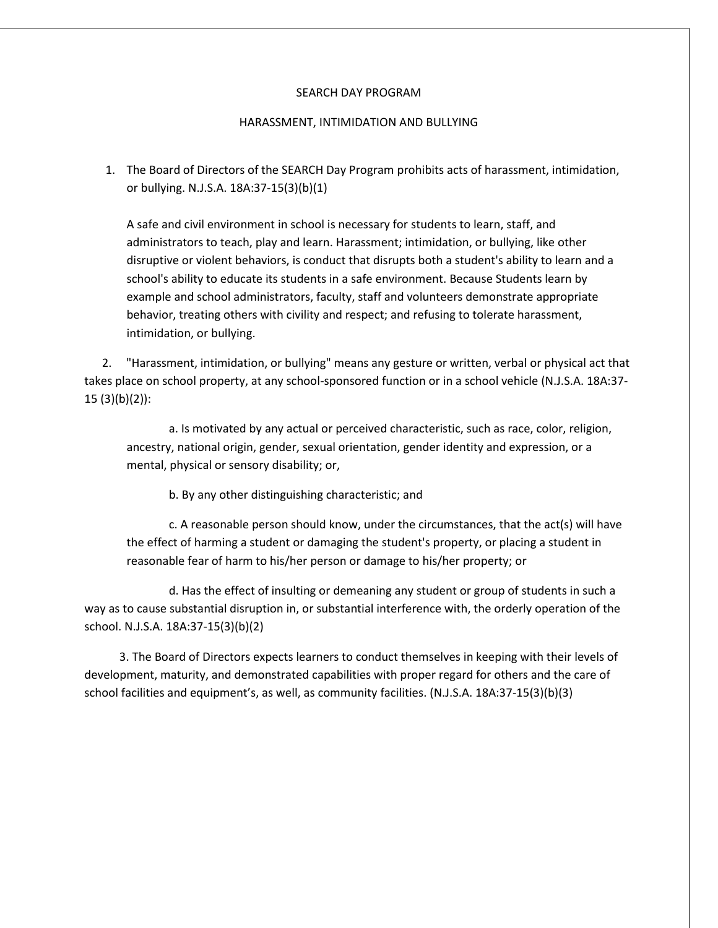## SEARCH DAY PROGRAM

## HARASSMENT, INTIMIDATION AND BULLYING

1. The Board of Directors of the SEARCH Day Program prohibits acts of harassment, intimidation, or bullying. N.J.S.A. 18A:37-15(3)(b)(1)

A safe and civil environment in school is necessary for students to learn, staff, and administrators to teach, play and learn. Harassment; intimidation, or bullying, like other disruptive or violent behaviors, is conduct that disrupts both a student's ability to learn and a school's ability to educate its students in a safe environment. Because Students learn by example and school administrators, faculty, staff and volunteers demonstrate appropriate behavior, treating others with civility and respect; and refusing to tolerate harassment, intimidation, or bullying.

 2. "Harassment, intimidation, or bullying" means any gesture or written, verbal or physical act that takes place on school property, at any school-sponsored function or in a school vehicle (N.J.S.A. 18A:37- 15 (3)(b)(2)):

a. Is motivated by any actual or perceived characteristic, such as race, color, religion, ancestry, national origin, gender, sexual orientation, gender identity and expression, or a mental, physical or sensory disability; or,

b. By any other distinguishing characteristic; and

c. A reasonable person should know, under the circumstances, that the act(s) will have the effect of harming a student or damaging the student's property, or placing a student in reasonable fear of harm to his/her person or damage to his/her property; or

d. Has the effect of insulting or demeaning any student or group of students in such a way as to cause substantial disruption in, or substantial interference with, the orderly operation of the school. N.J.S.A. 18A:37-15(3)(b)(2)

 3. The Board of Directors expects learners to conduct themselves in keeping with their levels of development, maturity, and demonstrated capabilities with proper regard for others and the care of school facilities and equipment's, as well, as community facilities. (N.J.S.A. 18A:37-15(3)(b)(3)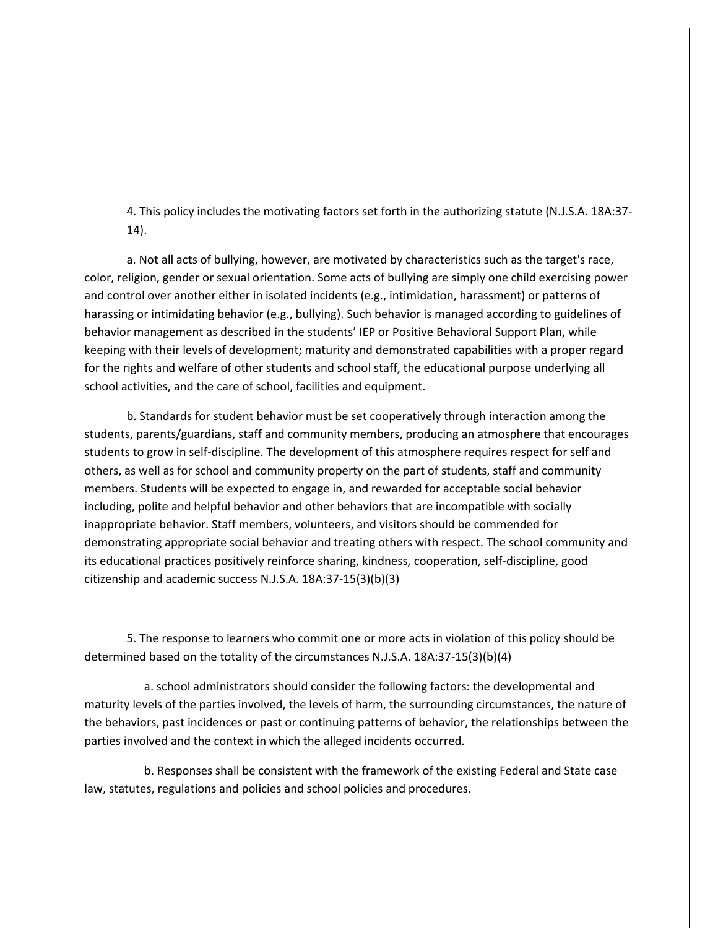4. This policy includes the motivating factors set forth in the authorizing statute (N.J.S.A. 18A:37- 14).

a. Not all acts of bullying, however, are motivated by characteristics such as the target's race, color, religion, gender or sexual orientation. Some acts of bullying are simply one child exercising power and control over another either in isolated incidents (e.g., intimidation, harassment) or patterns of harassing or intimidating behavior (e.g., bullying). Such behavior is managed according to guidelines of behavior management as described in the students' IEP or Positive Behavioral Support Plan, while keeping with their levels of development; maturity and demonstrated capabilities with a proper regard for the rights and welfare of other students and school staff, the educational purpose underlying all school activities, and the care of school, facilities and equipment.

b. Standards for student behavior must be set cooperatively through interaction among the students, parents/guardians, staff and community members, producing an atmosphere that encourages students to grow in self-discipline. The development of this atmosphere requires respect for self and others, as well as for school and community property on the part of students, staff and community members. Students will be expected to engage in, and rewarded for acceptable social behavior including, polite and helpful behavior and other behaviors that are incompatible with socially inappropriate behavior. Staff members, volunteers, and visitors should be commended for demonstrating appropriate social behavior and treating others with respect. The school community and its educational practices positively reinforce sharing, kindness, cooperation, self-discipline, good citizenship and academic success N.J.S.A. 18A:37-15(3)(b)(3)

5. The response to learners who commit one or more acts in violation of this policy should be determined based on the totality of the circumstances N.J.S.A. 18A:37-15(3)(b)(4)

 a. school administrators should consider the following factors: the developmental and maturity levels of the parties involved, the levels of harm, the surrounding circumstances, the nature of the behaviors, past incidences or past or continuing patterns of behavior, the relationships between the parties involved and the context in which the alleged incidents occurred.

 b. Responses shall be consistent with the framework of the existing Federal and State case law, statutes, regulations and policies and school policies and procedures.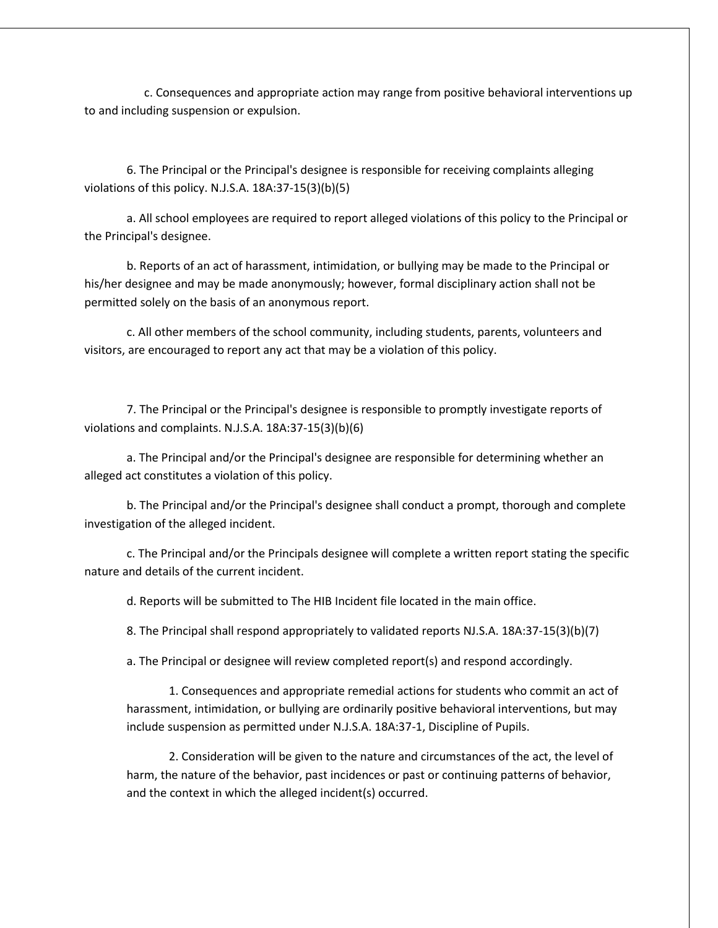c. Consequences and appropriate action may range from positive behavioral interventions up to and including suspension or expulsion.

6. The Principal or the Principal's designee is responsible for receiving complaints alleging violations of this policy. N.J.S.A. 18A:37-15(3)(b)(5)

a. All school employees are required to report alleged violations of this policy to the Principal or the Principal's designee.

b. Reports of an act of harassment, intimidation, or bullying may be made to the Principal or his/her designee and may be made anonymously; however, formal disciplinary action shall not be permitted solely on the basis of an anonymous report.

c. All other members of the school community, including students, parents, volunteers and visitors, are encouraged to report any act that may be a violation of this policy.

7. The Principal or the Principal's designee is responsible to promptly investigate reports of violations and complaints. N.J.S.A. 18A:37-15(3)(b)(6)

a. The Principal and/or the Principal's designee are responsible for determining whether an alleged act constitutes a violation of this policy.

b. The Principal and/or the Principal's designee shall conduct a prompt, thorough and complete investigation of the alleged incident.

c. The Principal and/or the Principals designee will complete a written report stating the specific nature and details of the current incident.

d. Reports will be submitted to The HIB Incident file located in the main office.

8. The Principal shall respond appropriately to validated reports NJ.S.A. 18A:37-15(3)(b)(7)

a. The Principal or designee will review completed report(s) and respond accordingly.

1. Consequences and appropriate remedial actions for students who commit an act of harassment, intimidation, or bullying are ordinarily positive behavioral interventions, but may include suspension as permitted under N.J.S.A. 18A:37-1, Discipline of Pupils.

2. Consideration will be given to the nature and circumstances of the act, the level of harm, the nature of the behavior, past incidences or past or continuing patterns of behavior, and the context in which the alleged incident(s) occurred.